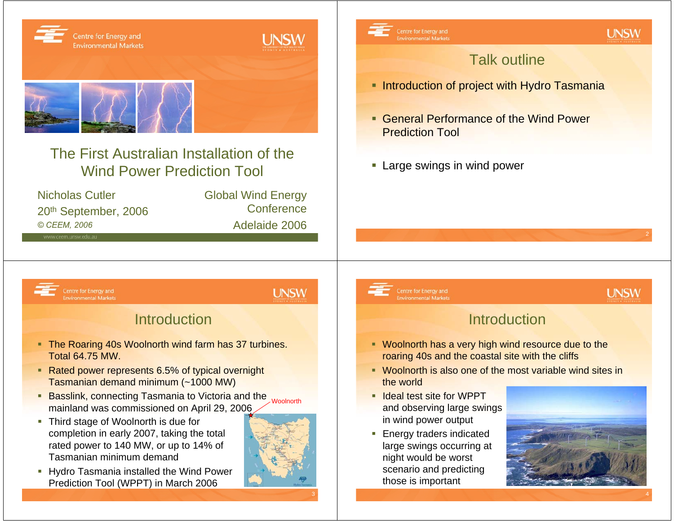

2

4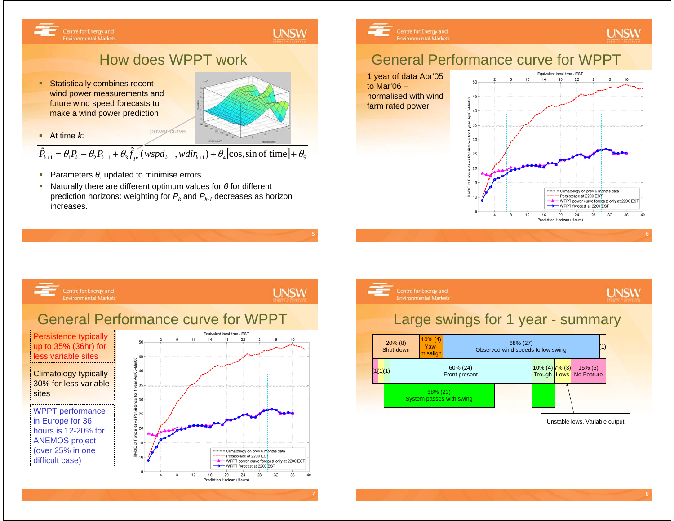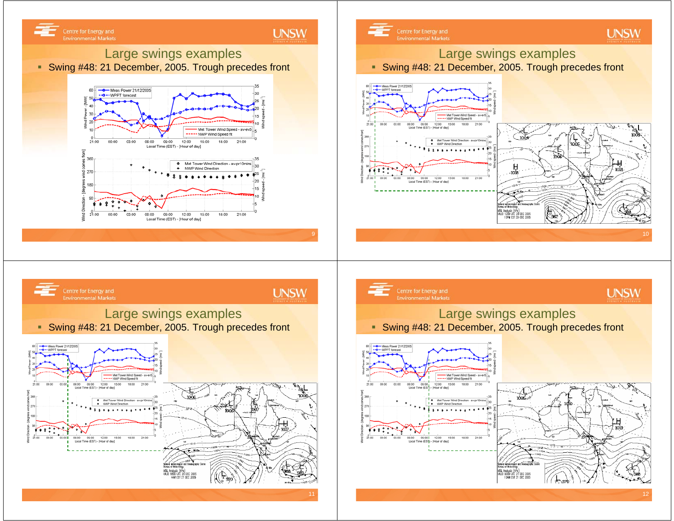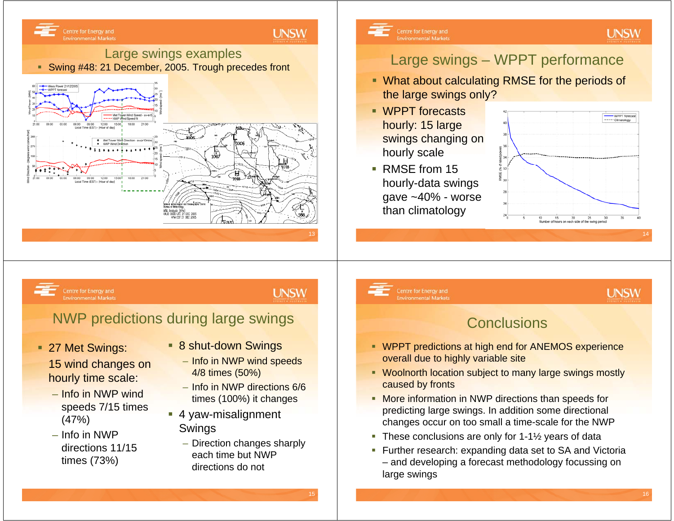

15

16